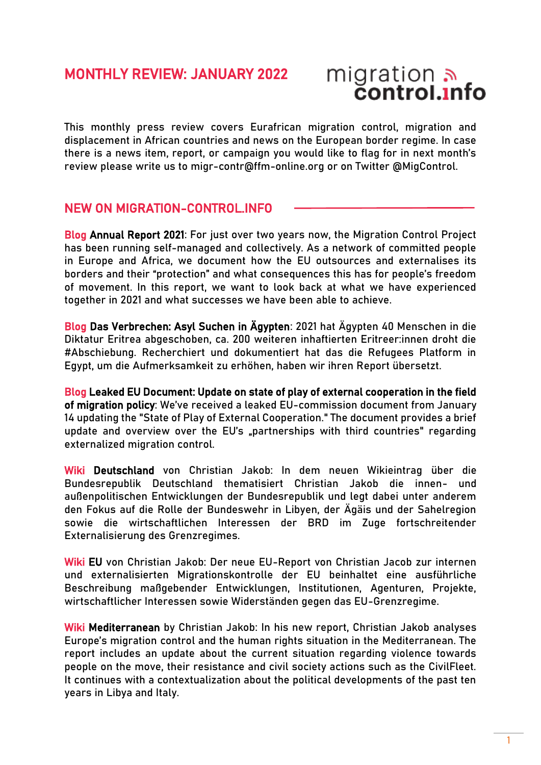## MONTHLY REVIEW: JANUARY 2022

# migration<br>**control.info**

This monthly press review covers Eurafrican migration control, migration and displacement in African countries and news on the European border regime. In case there is a news item, report, or campaign you would like to flag for in next month's review please write us to migr-contr@ffm-online.org or on Twitter [@MigControl.](https://twitter.com/MigControl)

## NEW ON MIGRATION-CONTROL.INFO

Blog [Annual Report 2021:](https://migration-control.info/annual-report-2021/) For just over two years now, the Migration Control Project has been running self-managed and collectively. As a network of committed people in Europe and Africa, we document how the EU outsources and externalises its borders and their "protection" and what consequences this has for people's freedom of movement. In this report, we want to look back at what we have experienced together in 2021 and what successes we have been able to achieve.

Blog [Das Verbrechen: Asyl Suchen in Ägypten:](https://migration-control.info/das-verbrechen-asyl-suchen-in-aegypten/) 2021 hat Ägypten 40 Menschen in die Diktatur Eritrea abgeschoben, ca. 200 weiteren inhaftierten Eritreer:innen droht die #Abschiebung. Recherchiert und dokumentiert hat das die Refugees Platform in Egypt, um die Aufmerksamkeit zu erhöhen, haben wir ihren Report übersetzt.

Blog [Leaked EU Document: Update on state of play of external cooperation in the field](https://migration-control.info/internal-eu-document-update-on-state-of-play-of-external-cooperation/)  [of migration policy:](https://migration-control.info/internal-eu-document-update-on-state-of-play-of-external-cooperation/) We've received a leaked EU-commission document from January 14 updating the "State of Play of External Cooperation." The document provides a brief update and overview over the EU's "partnerships with third countries" regarding externalized migration control.

Wiki [Deutschland](https://migration-control.info/wiki/deutschland/) von Christian Jakob: In dem neuen Wikieintrag über die Bundesrepublik Deutschland thematisiert Christian Jakob die innen- und außenpolitischen Entwicklungen der Bundesrepublik und legt dabei unter anderem den Fokus auf die Rolle der Bundeswehr in Libyen, der Ägäis und der Sahelregion sowie die wirtschaftlichen Interessen der BRD im Zuge fortschreitender Externalisierung des Grenzregimes.

Wiki [EU](https://t.co/FKd8dsq8rd) von Christian Jakob: Der neue EU-Report von Christian Jacob zur internen und externalisierten Migrationskontrolle der EU beinhaltet eine ausführliche Beschreibung maßgebender Entwicklungen, Institutionen, Agenturen, Projekte, wirtschaftlicher Interessen sowie Widerständen gegen das EU-Grenzregime.

Wiki [Mediterranean](https://migration-control.info/en/wiki/mediterranean/) by Christian Jakob: In his new report, Christian Jakob analyses Europe's migration control and the human rights situation in the Mediterranean. The report includes an update about the current situation regarding violence towards people on the move, their resistance and civil society actions such as the CivilFleet. It continues with a contextualization about the political developments of the past ten years in Libya and Italy.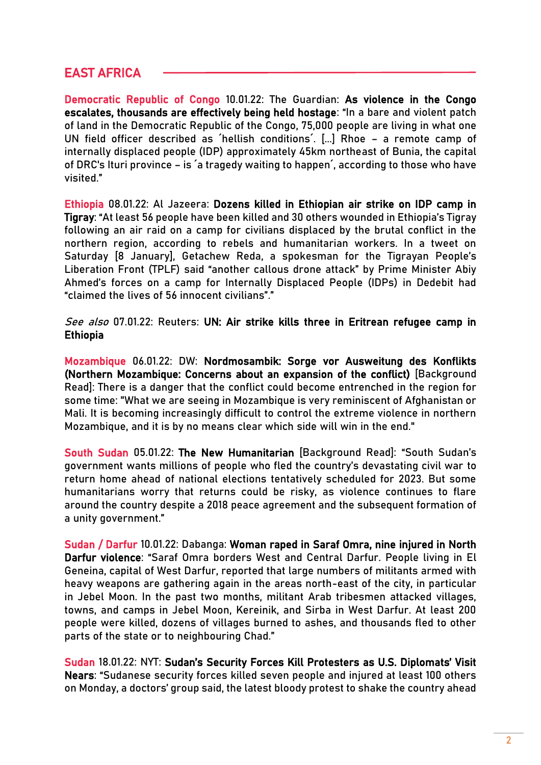## EAST AFRICA

Democratic Republic of Congo 10.01.22: The Guardian: [As violence in the Congo](https://www.unhcr.org/cgi-bin/texis/vtx/refdaily?pass=52fc6fbd5&id=61dd31aa3)  [escalates, thousands are effectively being held hostage:](https://www.unhcr.org/cgi-bin/texis/vtx/refdaily?pass=52fc6fbd5&id=61dd31aa3) "In a bare and violent patch of land in the Democratic Republic of the Congo, 75,000 people are living in what one UN field officer described as ´hellish conditions´. [...] Rhoe – a remote camp of internally displaced people (IDP) approximately 45km northeast of Bunia, the capital of DRC's Ituri province – is ´a tragedy waiting to happen´, according to those who have visited."

Ethiopia 08.01.22: Al Jazeera: [Dozens killed in Ethiopian air strike on IDP camp in](https://www.aljazeera.com/news/2022/1/8/dozens-killed-in-ethiopian-air-strike-on-idp-camp-in-tigray)  [Tigray](https://www.aljazeera.com/news/2022/1/8/dozens-killed-in-ethiopian-air-strike-on-idp-camp-in-tigray): "At least 56 people have been killed and 30 others wounded in Ethiopia's Tigray following an air raid on a camp for civilians displaced by the brutal conflict in the northern region, according to rebels and humanitarian workers. In a tweet on Saturday [8 January], Getachew Reda, a spokesman for the Tigrayan People's Liberation Front (TPLF) said "another callous drone attack" by Prime Minister Abiy Ahmed's forces on a camp for Internally Displaced People (IDPs) in Dedebit had "claimed the lives of 56 innocent civilians"."

#### See also 07.01.22: Reuters: UN: Air strike kills three in Eritrean refugee camp in [Ethiopia](https://www.reuters.com/world/africa/un-ethiopian-air-strike-kills-three-camp-eritrean-refugees-2022-01-07/)

Mozambique 06.01.22: DW: [Nordmosambik: Sorge vor Ausweitung des Konflikts](https://www.dw.com/de/nordmosambik-sorge-vor-ausweitung-des-konflikts/a-60352073)  (Northern Mozambique: Concerns about an expansion of the conflict) [Background Read]: There is a danger that the conflict could become entrenched in the region for some time: "What we are seeing in Mozambique is very reminiscent of Afghanistan or Mali. It is becoming increasingly difficult to control the extreme violence in northern Mozambique, and it is by no means clear which side will win in the end."

South Sudan 05.01.22: [The New Humanitarian](https://www.thenewhumanitarian.org/analysis/2022/1/5/why-return-displaced-people-thorny-issue-South-Sudan) [Background Read]: "South Sudan's government wants millions of people who fled the country's devastating civil war to return home ahead of national elections tentatively scheduled for 2023. But some humanitarians worry that returns could be risky, as violence continues to flare around the country despite a 2018 peace agreement and the subsequent formation of a unity government."

Sudan / Darfur 10.01.22: Dabanga: [Woman raped in Saraf Omra, nine injured in North](https://www.dabangasudan.org/en/all-news/article/woman-raped-in-saraf-omra-nine-injured-in-north-darfur-violence)  [Darfur violence:](https://www.dabangasudan.org/en/all-news/article/woman-raped-in-saraf-omra-nine-injured-in-north-darfur-violence) "Saraf Omra borders West and Central Darfur. People living in El Geneina, capital of West Darfur, reported that large numbers of militants armed with heavy weapons are gathering again in the areas north-east of the city, in particular in Jebel Moon. In the past two months, militant Arab tribesmen attacked villages, towns, and camps in Jebel Moon, Kereinik, and Sirba in West Darfur. At least 200 people were killed, dozens of villages burned to ashes, and thousands fled to other parts of the state or to neighbouring Chad."

Sudan 18.01.22: NYT: [Sudan's Security Forces Kill Protesters as U.S. Diplomats' Visit](https://www.nytimes.com/2022/01/18/world/africa/sudan-violence-protesters-killed.html)  [Nears](https://www.nytimes.com/2022/01/18/world/africa/sudan-violence-protesters-killed.html): "Sudanese security forces killed seven people and injured at least 100 others on Monday, a doctors' group said, the latest bloody protest to shake the country ahead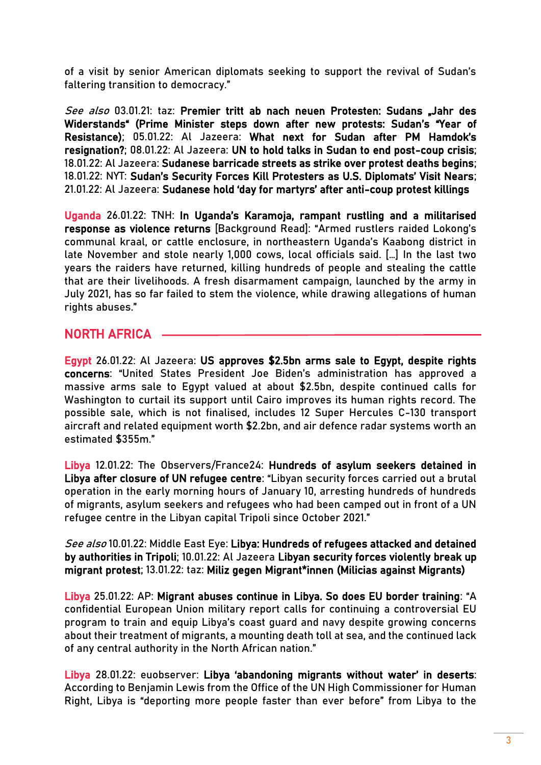of a visit by senior American diplomats seeking to support the revival of Sudan's faltering transition to democracy."

See also 03.01.21: taz: Premier tritt ab nach neuen Protesten: Sudans "Jahr des [Widerstands"](https://taz.de/Premier-tritt-ab-nach-neuen-Protesten/!5823261/) (Prime Minister steps down after new protests: Sudan's "Year of Resistance); 05.01.22: Al Jazeera: [What next for Sudan after PM Hamdok's](https://www.aljazeera.com/news/2022/1/5/what-next-for-sudan-after-pm-hamdoks-resignation)  [resignation?;](https://www.aljazeera.com/news/2022/1/5/what-next-for-sudan-after-pm-hamdoks-resignation) 08.01.22: Al Jazeera: [UN to hold talks in Sudan to end post-coup crisis;](https://www.aljazeera.com/news/2022/1/8/un-to-hold-sudan-talks-to-end-crisis-after-coup) 18.01.22: Al Jazeera: [Sudanese barricade streets as strike over protest deaths begins;](https://www.aljazeera.com/news/2022/1/18/sudanese-barricade-streets-as-strike-over-protest-deaths-begins) 18.01.22: NYT: [Sudan's Security Forces Kill Protesters as U.S. Diplomats' Visit Nears](https://www.nytimes.com/2022/01/18/world/africa/sudan-violence-protesters-killed.html); 21.01.22: Al Jazeera: [Sudanese hold 'day for martyrs' after anti](https://www.aljazeera.com/news/2022/1/21/sudanese-hold-day-for-martyrs-after-anti-coup-protest-deaths)-coup protest killings

Uganda 26.01.22: TNH: [In Uganda's Karamoja, rampant rustling and a militarised](https://www.thenewhumanitarian.org/news-feature/2022/1/26/Uganda-Karamoja-cattle-rustling-militarised-violence-returns?utm_source=The+New+Humanitarian&utm_campaign=db95909d9f-EMAIL_CAMPAIGN_2021_01_28_Weekly&utm_medium=email&utm_term=0_d842d98289-db95909d9f-75454181)  [response as violence returns](https://www.thenewhumanitarian.org/news-feature/2022/1/26/Uganda-Karamoja-cattle-rustling-militarised-violence-returns?utm_source=The+New+Humanitarian&utm_campaign=db95909d9f-EMAIL_CAMPAIGN_2021_01_28_Weekly&utm_medium=email&utm_term=0_d842d98289-db95909d9f-75454181) [Background Read]: "Armed rustlers raided Lokong's communal kraal, or cattle enclosure, in northeastern Uganda's Kaabong district in late November and stole nearly 1,000 cows, local officials said. […] In the last two years the raiders have returned, killing hundreds of people and stealing the cattle that are their livelihoods. A fresh disarmament campaign, launched by the army in July 2021, has so far failed to stem the violence, while drawing allegations of human rights abuses."

## NORTH AFRICA

Egypt 26.01.22: Al Jazeera: [US approves \\$2.5bn arms sale to Egypt, despite rights](https://www.aljazeera.com/news/2022/1/26/us-approves-2-5bn-arms-sale-egypt-despite-rights-concerns)  [concerns:](https://www.aljazeera.com/news/2022/1/26/us-approves-2-5bn-arms-sale-egypt-despite-rights-concerns) "United States President Joe Biden's administration has approved a massive arms sale to Egypt valued at about \$2.5bn, despite continued calls for Washington to curtail its support until Cairo improves its human rights record. The possible sale, which is not finalised, includes 12 Super Hercules C-130 transport aircraft and related equipment worth \$2.2bn, and air defence radar systems worth an estimated \$355m."

Libya 12.01.22: The Observers/France24: [Hundreds of asylum seekers detained in](https://observers.france24.com/en/africa/20220112-libya-arrests-asylum-seekers-migrants-unhcr-cdc-closure)  [Libya after closure of UN refugee centre](https://observers.france24.com/en/africa/20220112-libya-arrests-asylum-seekers-migrants-unhcr-cdc-closure): "Libyan security forces carried out a brutal operation in the early morning hours of January 10, arresting hundreds of hundreds of migrants, asylum seekers and refugees who had been camped out in front of a UN refugee centre in the Libyan capital Tripoli since October 2021."

See also 10.01.22: Middle East Eye: Libya: Hundreds of refugees attacked and detained [by authorities in Tripoli;](https://www.middleeasteye.net/news/libya-tripoli-migrants-refugees-attacked-detained) 10.01.22: Al Jazeera [Libyan security forces violently break up](https://www.aljazeera.com/news/2022/1/10/libya-security-forces-violently-break-up-migrant-protest)  [migrant protest;](https://www.aljazeera.com/news/2022/1/10/libya-security-forces-violently-break-up-migrant-protest) 13.01.22: taz: [Miliz gegen Migrant\\*innen \(](https://www.taz.de/!5825230)Milicias against Migrants)

Libya 25.01.22: AP: [Migrant abuses continue in Libya. So does EU border training:](https://apnews.com/article/coronavirus-pandemic-business-health-libya-migration-a30dd342513aeeede5a7558de4c3089d) "A confidential European Union military report calls for continuing a controversial EU program to train and equip Libya's coast guard and navy despite growing concerns about their treatment of migrants, a mounting death toll at sea, and the continued lack of any central authority in the North African nation."

Libya 28.01.22: euobserver: Libya '[abandoning migrants without water](https://euobserver.com/migration/154222)' in deserts: According to Benjamin Lewis from the Office of the UN High Commissioner for Human Right, Libya is "deporting more people faster than ever before" from Libya to the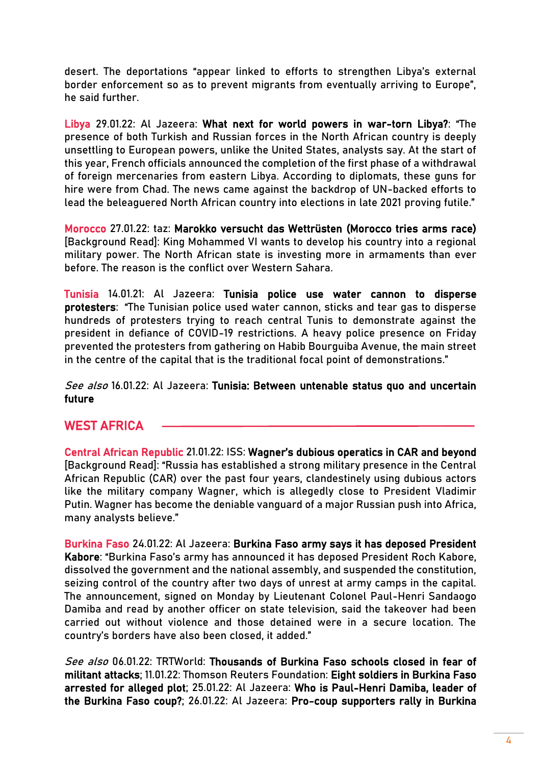desert. The deportations "appear linked to efforts to strengthen Libya's external border enforcement so as to prevent migrants from eventually arriving to Europe", he said further.

Libya 29.01.22: Al Jazeera: [What next for world powers in war-torn Libya?](https://www.aljazeera.com/news/2022/1/29/what-next-for-world-powers-in-war-torn-libya): "The presence of both Turkish and Russian forces in the North African country is deeply unsettling to European powers, unlike the United States, analysts say. At the start of this year, French officials announced the completion of the first phase of a withdrawal of foreign mercenaries from eastern Libya. According to diplomats, these guns for hire were from Chad. The news came against the backdrop of UN-backed efforts to lead the beleaguered North African country into elections in late 2021 [proving futile](https://www.aljazeera.com/news/2021/12/23/why-libya-election-got-postponed)."

Morocco 27.01.22: taz: [Marokko versucht das Wettrüsten](https://www.taz.de/!5829154) (Morocco tries arms race) [Background Read]: King Mohammed VI wants to develop his country into a regional military power. The North African state is investing more in armaments than ever before. The reason is the conflict over Western Sahara.

Tunisia 14.01.21: Al Jazeera: [Tunisia police use water cannon to disperse](https://www.aljazeera.com/news/2022/1/14/tunisia-police-use-water-cannon-on-hundreds-of-protesters)  [protesters:](https://www.aljazeera.com/news/2022/1/14/tunisia-police-use-water-cannon-on-hundreds-of-protesters) "The Tunisian police used water cannon, sticks and tear gas to disperse hundreds of protesters trying to reach central Tunis to demonstrate against the president in defiance of COVID-19 restrictions. A heavy police presence on Friday prevented the protesters from gathering on Habib Bourguiba Avenue, the main street in the centre of the capital that is the traditional focal point of demonstrations."

#### See also 16.01.22: Al Jazeera: Tunisia: Between untenable status quo and uncertain [future](https://www.aljazeera.com/news/2022/1/16/tunisia-between-untenable-status-quo-and-uncertain-future)

## WEST AFRICA

Central African Republic 21.01.22: ISS: [Wagner's dubious operatics in CAR and beyond](https://issafrica.org/iss-today/wagners-dubious-operatics-in-car-and-beyond) [Background Read]: "Russia has established a strong military presence in the Central African Republic (CAR) over the past four years, clandestinely using dubious actors like the military company Wagner, which is allegedly close to President Vladimir Putin. Wagner has become the deniable vanguard of a major Russian push into Africa, many analysts believe."

Burkina Faso 24.01.22: Al Jazeera: [Burkina Faso army says it has deposed President](https://www.aljazeera.com/news/2022/1/24/burkina-faso-army-says-it-has-deposed-president-kabore)  [Kabore:](https://www.aljazeera.com/news/2022/1/24/burkina-faso-army-says-it-has-deposed-president-kabore) "Burkina Faso's army has announced it has deposed President Roch Kabore, dissolved the government and the national assembly, and suspended the constitution, seizing control of the country after two days of unrest at army camps in the capital. The announcement, signed on Monday by Lieutenant Colonel Paul-Henri Sandaogo Damiba and read by another officer on state television, said the takeover had been carried out without violence and those detained were in a secure location. The country's borders have also been closed, it added."

See also 06.01.22: TRTWorld: [Thousands of Burkina Faso schools closed in fear of](https://www.trtworld.com/africa/thousands-of-burkina-faso-schools-closed-in-fear-of-militant-attacks-53363)  [militant attacks;](https://www.trtworld.com/africa/thousands-of-burkina-faso-schools-closed-in-fear-of-militant-attacks-53363) 11.01.22: Thomson Reuters Foundation: [Eight soldiers in Burkina Faso](https://news.trust.org/item/20220111172517-igtef/)  [arrested for alleged plot;](https://news.trust.org/item/20220111172517-igtef/) 25.01.22: Al Jazeera: [Who is Paul-Henri Damiba, leader of](https://www.aljazeera.com/news/2022/1/25/burkina-faso-coup-leader-paul-henri-sandaogo-damiba)  [the Burkina Faso coup?;](https://www.aljazeera.com/news/2022/1/25/burkina-faso-coup-leader-paul-henri-sandaogo-damiba) 26.01.22: Al Jazeera: [Pro-coup supporters rally in Burkina](https://www.aljazeera.com/news/2022/1/25/pro-coup-supporters-rally-in-burkina-faso-as-un-condemns-takeover)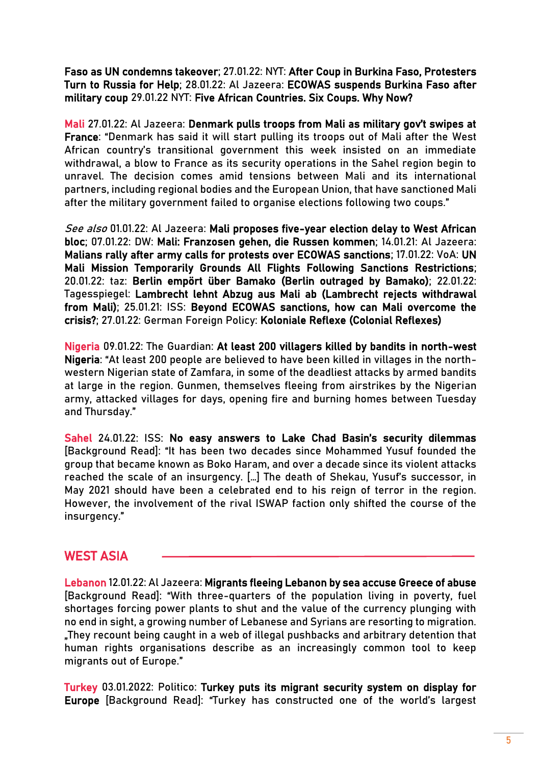[Faso as UN condemns takeover;](https://www.aljazeera.com/news/2022/1/25/pro-coup-supporters-rally-in-burkina-faso-as-un-condemns-takeover) 27.01.22: NYT: [After Coup in Burkina Faso, Protesters](https://www.nytimes.com/2022/01/25/world/africa/burkina-faso-coup-russians.html)  [Turn to Russia for Help;](https://www.nytimes.com/2022/01/25/world/africa/burkina-faso-coup-russians.html) 28.01.22: Al Jazeera: [ECOWAS suspends Burkina Faso after](https://www.aljazeera.com/news/2022/1/28/ecowas-suspends-burkina-faso-after-coup)  [military coup](https://www.aljazeera.com/news/2022/1/28/ecowas-suspends-burkina-faso-after-coup) 29.01.22 NYT: [Five African Countries. Six Coups. Why Now?](https://www.nytimes.com/article/burkina-faso-africa-coup.html)

Mali 27.01.22: Al Jazeera: [Denmark pulls troops from Mali as military gov't swipes at](https://www.aljazeera.com/news/2022/1/27/denmark-pulls-mali-troops-out-as-junta-takes-swipe-at-france)  [France](https://www.aljazeera.com/news/2022/1/27/denmark-pulls-mali-troops-out-as-junta-takes-swipe-at-france): "Denmark has said it will start pulling its troops out of Mali after the West African country's transitional government this week insisted on an immediate withdrawal, a blow to France as its security operations in the Sahel region begin to unravel. The decision comes amid tensions between Mali and its international partners, including regional bodies and the European Union, that have sanctioned Mali after the military government failed to organise elections following two coups."

See also 01.01.22: Al Jazeera: Mali proposes five-year election delay to West African [bloc;](https://www.aljazeera.com/news/2022/1/1/mali-proposes-five-year-election-delay-west-african-bloc-ecowas) 07.01.22: DW: [Mali: Franzosen gehen, die Russen kommen;](https://www.dw.com/de/mali-franzosen-gehen-die-russen-kommen/a-60362170) 14.01.21: Al Jazeera: [Malians rally after army calls for protests over ECOWAS sanctions;](https://www.aljazeera.com/news/2022/1/14/malians-rally-after-army-calls-protests-over-ecowas-sanctions) 17.01.22: VoA: [UN](https://www.voanews.com/a/un-mission-to-mali-temporarily-grounds-all-flights-citing-sanctions-restrictions-/6399884.html)  [Mali Mission Temporarily Grounds All Flights Following Sanctions Restrictions;](https://www.voanews.com/a/un-mission-to-mali-temporarily-grounds-all-flights-citing-sanctions-restrictions-/6399884.html) 20.01.22: taz: [Berlin empört über Bamako](https://taz.de/Mali-stoppt-Bundeswehrflug/!5825853/) (Berlin outraged by Bamako); 22.01.22: Tagesspiegel: [Lambrecht lehnt Abzug aus Mali ab](https://www.tagesspiegel.de/politik/so-einfach-machen-wir-es-den-russen-nicht-lambrecht-lehnt-abzug-der-bundeswehr-aus-mali-ab/27998660.html) (Lambrecht rejects withdrawal from Mali); 25.01.21: ISS: [Beyond ECOWAS sanctions, how can Mali overcome the](https://issafrica.org/iss-today/beyond-ecowas-sanctions-how-can-mali-overcome-the-crisis)  [crisis?;](https://issafrica.org/iss-today/beyond-ecowas-sanctions-how-can-mali-overcome-the-crisis) 27.01.22: German Foreign Policy: [Koloniale Reflexe](https://www.german-foreign-policy.com/news/detail/8824/) (Colonial Reflexes)

Nigeria 09.01.22: The Guardian: [At least 200 villagers killed by bandits in north-west](https://www.theguardian.com/world/2022/jan/09/hundreds-villagers-killed-by-bandits-in-north-west-nigeria)  [Nigeria](https://www.theguardian.com/world/2022/jan/09/hundreds-villagers-killed-by-bandits-in-north-west-nigeria): "At least 200 people are believed to have been killed in villages in the northwestern Nigerian state of Zamfara, in some of the deadliest attacks by armed bandits at large in the region. Gunmen, themselves fleeing from airstrikes by the Nigerian army, attacked villages for days, opening fire and burning homes between Tuesday and Thursday."

Sahel 24.01.22: ISS: [No easy answers to Lake Chad Basin's security dilemmas](https://issafrica.org/iss-today/no-easy-answers-to-lake-chad-basins-security-dilemmas) [Background Read]: "It has been two decades since Mohammed Yusuf founded the group that became known as Boko Haram, and over a decade since its violent attacks reached the scale of an insurgency. […] The death of Shekau, Yusuf's successor, in May 2021 should have been a celebrated end to his reign of terror in the region. However, the involvement of the rival ISWAP faction only shifted the course of the insurgency."

## WEST ASIA

Lebanon 12.01.22: Al Jazeera: [Migrants fleeing Lebanon by sea accuse Greece of abuse](https://www.aljazeera.com/features/2022/1/12/migrants-fleeing-lebanon-by-sea-accuse-greece-of-abuse) [Background Read]: "With three-quarters of the population living in poverty, fuel shortages forcing power plants to shut and the value of the currency plunging with no end in sight, a growing number of Lebanese and Syrians are resorting to migration. "They recount being caught in a web of illegal pushbacks and arbitrary detention that human rights organisations describe as an increasingly common tool to keep migrants out of Europe."

Turkey 03.01.2022: Politico: [Turkey puts its migrant security system on display for](https://www.politico.eu/article/turkey-migrant-security-system-iran-border-europe-afghanistan/)  [Europe](https://www.politico.eu/article/turkey-migrant-security-system-iran-border-europe-afghanistan/) [Background Read]: "Turkey has constructed one of the world's largest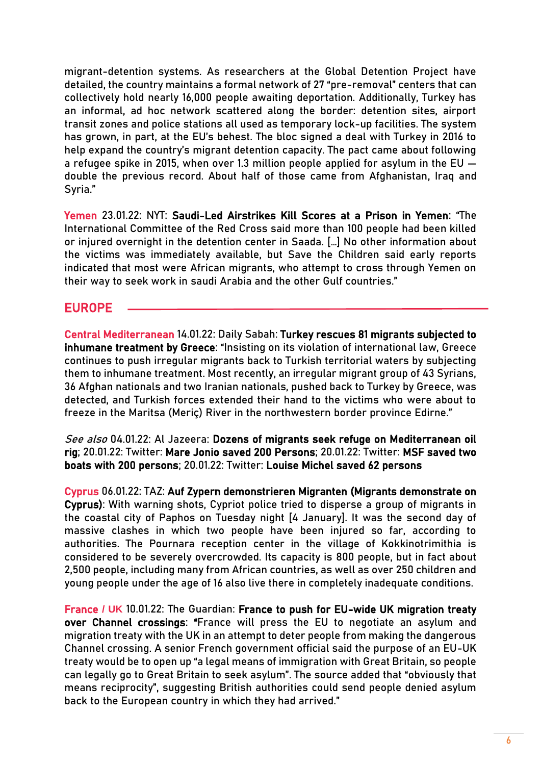migrant-detention systems. As researchers at the Global Detention Project have [detailed,](https://www.globaldetentionproject.org/immigration-detention-in-turkey-trapped-at-the-crossroad-between-asia-and-europe) the country maintains a formal network of 27 "pre-removal" centers that can collectively hold nearly 16,000 people awaiting deportation. Additionally, Turkey has an informal, ad hoc network scattered along the border: detention sites, airport transit zones and police stations all used as temporary lock-up facilities. The system has grown, in part, at the EU's behest. The bloc signed a deal with Turkey in 2016 to help expand the country's migrant detention capacity. The pact came about following a refugee spike in 2015, when over 1.3 million people [applied](https://www.pewresearch.org/global/2016/08/02/number-of-refugees-to-europe-surges-to-record-1-3-million-in-2015/) for asylum in the EU double the previous record. About half of those came from Afghanistan, Iraq and Syria."

Yemen 23.01.22: NYT: [Saudi-Led Airstrikes Kill Scores at a Prison in Yemen:](https://www.nytimes.com/2022/01/21/world/middleeast/yemen-saudi-arabia-airstrike.html) "The International Committee of the Red Cross said more than 100 people had been killed or injured overnight in the detention center in Saada. […] No other information about the victims was immediately available, but Save the Children said early reports indicated that most were African migrants, who attempt to cross through Yemen on their way to seek work in saudi Arabia and the other Gulf countries."

## EUROPE

Central Mediterranean 14.01.22: Daily Sabah: [Turkey rescues 81 migrants subjected to](https://www.dailysabah.com/politics/eu-affairs/turkey-rescues-81-migrants-subjected-to-inhumane-treatment-by-greece)  [inhumane treatment by Greece:](https://www.dailysabah.com/politics/eu-affairs/turkey-rescues-81-migrants-subjected-to-inhumane-treatment-by-greece) "Insisting on its violation of international law, Greece continues to push irregular migrants back to Turkish territorial waters by subjecting them to inhumane treatment. Most recently, an irregular migrant group of 43 Syrians, 36 Afghan nationals and two Iranian nationals, pushed back to Turkey by Greece, was detected, and Turkish forces extended their hand to the victims who were about to freeze in the Maritsa (Meriç) River in the northwestern border province Edirne."

See also 04.01.22: Al Jazeera: Dozens of migrants seek refuge on Mediterranean oil [rig;](https://www.aljazeera.com/news/2022/1/4/dozens-of-migrants-seek-refuge-on-mediterranean-oil-rig) 20.01.22: Twitter: [Mare Jonio saved 200 Persons;](https://twitter.com/RescueMed/status/1484124997320953857) 20.01.22: Twitter: [MSF saved two](https://twitter.com/MSF_Sea/status/1484082565875126272)  [boats with 200 persons;](https://twitter.com/MSF_Sea/status/1484082565875126272) 20.01.22: Twitter: [Louise Michel saved 62 persons](https://twitter.com/MVLouiseMichel/status/1484152908379787264)

Cyprus 06.01.22: TAZ: [Auf Zypern demonstrieren Migranten](https://taz.de/Hoechste-Migrantenquote-in-der-EU/!5823608/) (Migrants demonstrate on Cyprus): With warning shots, Cypriot police tried to disperse a group of migrants in the coastal city of Paphos on Tuesday night [4 January]. It was the second day of massive clashes in which two people have been injured so far, according to authorities. The Pournara reception center in the village of Kokkinotrimithia is considered to be severely overcrowded. Its capacity is 800 people, but in fact about 2,500 people, including many from African countries, as well as over 250 children and young people under the age of 16 also live there in completely inadequate conditions.

France **/ UK** 10.01.22: The Guardian: [France to push for EU-wide UK migration treaty](https://www.theguardian.com/world/2022/jan/10/france-to-push-for-eu-wide-uk-migration-treaty-over-channel-crossings)  [over Channel crossings:](https://www.theguardian.com/world/2022/jan/10/france-to-push-for-eu-wide-uk-migration-treaty-over-channel-crossings) "France will press the EU to negotiate an asylum and migration treaty with the UK in an attempt to deter people from making the dangerous Channel crossing. A senior French government official said the purpose of an EU-UK treaty would be to open up "a legal means of immigration with Great Britain, so people can legally go to Great Britain to seek asylum". The source added that "obviously that means reciprocity", suggesting British authorities could send people denied asylum back to the European country in which they had arrived."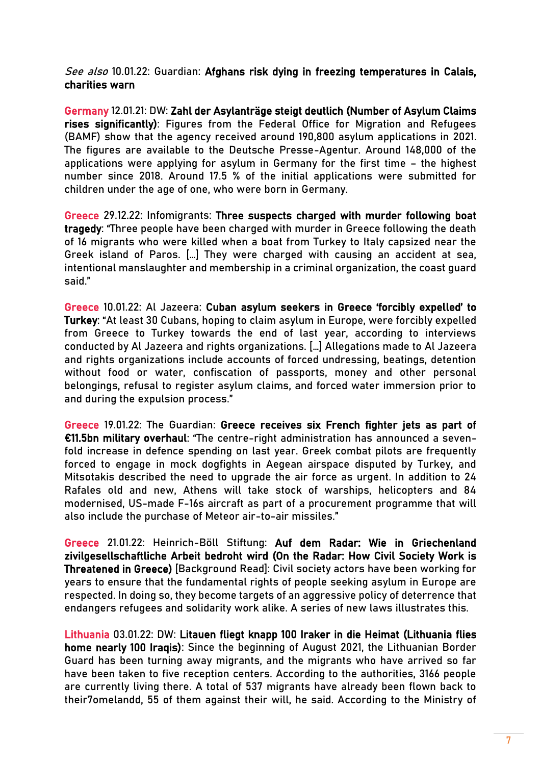See also 10.01.22: Guardian: Afghans risk dying in freezing temperatures in Calais, [charities warn](https://www.theguardian.com/world/2022/jan/10/afghans-risk-dying-in-freezing-temperatures-in-calais-charities-warn)

Germany 12.01.21: DW: [Zahl der Asylanträge steigt deutlich](https://p.dw.com/p/45PLU) (Number of Asylum Claims rises significantly): Figures from the Federal Office for Migration and Refugees (BAMF) show that the agency received around 190,800 asylum applications in 2021. The figures are available to the Deutsche Presse-Agentur. Around 148,000 of the applications were applying for asylum in Germany for the first time – the highest number since 2018. Around 17.5 % of the initial applications were submitted for children under the age of one, who were born in Germany.

Greece 29.12.22: Infomigrants: [Three suspects charged with murder following boat](https://www.infomigrants.net/en/post/37506/three-suspects-charged-with-murder-following-boat-tragedy)  [tragedy](https://www.infomigrants.net/en/post/37506/three-suspects-charged-with-murder-following-boat-tragedy): "Three people have been charged with murder in Greece following the death of 16 migrants who were killed when a boat from Turkey to Italy capsized near the Greek island of Paros. […] They were charged with causing an accident at sea, intentional manslaughter and membership in a criminal organization, the coast guard said."

Greece 10.01.22: Al Jazeera: [Cuban asylum seekers in Greece 'forcibly expelled' to](https://www.aljazeera.com/news/2022/1/10/like-a-nightmare-cubans-allege-expulsions-to-turkey)  [Turkey:](https://www.aljazeera.com/news/2022/1/10/like-a-nightmare-cubans-allege-expulsions-to-turkey) "At least 30 Cubans, hoping to claim asylum in Europe, were forcibly expelled from Greece to Turkey towards the end of last year, according to interviews conducted by Al Jazeera and rights organizations. […] Allegations made to Al Jazeera and rights organizations include accounts of forced undressing, beatings, detention without food or water, confiscation of passports, money and other personal belongings, refusal to register asylum claims, and forced water immersion prior to and during the expulsion process."

Greece 19.01.22: The Guardian: [Greece receives six French fighter jets as part of](https://www.theguardian.com/world/2022/jan/19/greece-receives-six-french-fighter-jets-as-part-of-115bn-military-overhaul)  [€11.5bn military](https://www.theguardian.com/world/2022/jan/19/greece-receives-six-french-fighter-jets-as-part-of-115bn-military-overhaul) overhaul: "The centre-right administration has announced a sevenfold increase in defence spending on last year. Greek combat pilots are frequently forced to engage in mock dogfights in Aegean airspace disputed by Turkey, and Mitsotakis described the need to upgrade the air force as urgent. In addition to 24 Rafales old and new, Athens will take stock of warships, helicopters and 84 modernised, US-made F-16s aircraft as part of a procurement programme that will also include the purchase of Meteor air-to-air missiles."

Greece 21.01.22: Heinrich-Böll Stiftung: [Auf dem Radar: Wie in Griechenland](https://www.boell.de/de/2022/01/21/wie-in-griechenland-zivilgesellschaftliche-arbeit-bedroht-wird?dimension1=startseite)  [zivilgesellschaftliche Arbeit bedroht wird](https://www.boell.de/de/2022/01/21/wie-in-griechenland-zivilgesellschaftliche-arbeit-bedroht-wird?dimension1=startseite) (On the Radar: How Civil Society Work is Threatened in Greece) [Background Read]: Civil society actors have been working for years to ensure that the fundamental rights of people seeking asylum in Europe are respected. In doing so, they become targets of an aggressive policy of deterrence that endangers refugees and solidarity work alike. A series of new laws illustrates this.

Lithuania 03.01.22: DW: [Litauen fliegt knapp 100 Iraker in die Heimat](https://www.dw.com/de/litauen-fliegt-knapp-100-iraker-in-die-heimat/a-60315457) (Lithuania flies home nearly 100 Iraqis): Since the beginning of August 2021, the Lithuanian Border Guard has been turning away migrants, and the migrants who have arrived so far have been taken to five reception centers. According to the authorities, 3166 people are currently living there. A total of 537 migrants have already been flown back to their7omelandd, 55 of them against their will, he said. According to the Ministry of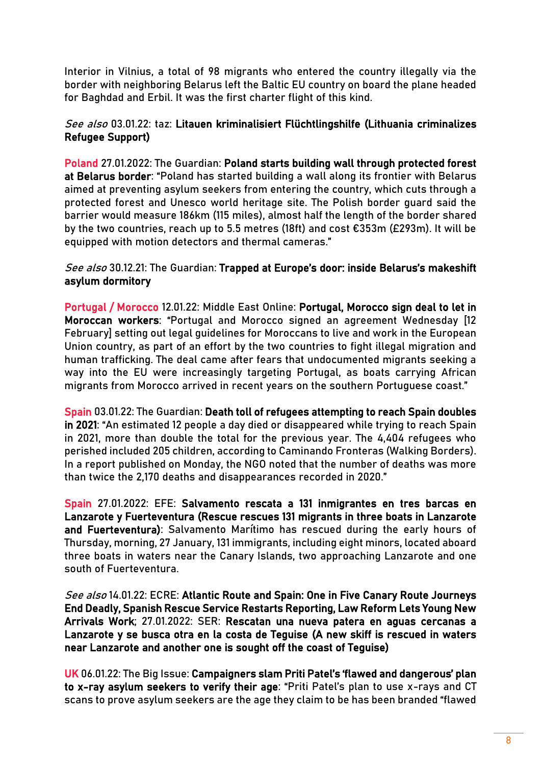Interior in Vilnius, a total of 98 migrants who entered the country illegally via the border with neighboring Belarus left the Baltic EU country on board the plane headed for Baghdad and Erbil. It was the first charter flight of this kind.

#### See also 03.01.22: taz: [Litauen kriminalisiert Flüchtlingshilfe](https://www.taz.de/!5825500) (Lithuania criminalizes Refugee Support)

Poland 27.01.2022: The Guardian: [Poland starts building wall through protected forest](https://www.theguardian.com/world/2022/jan/27/poland-starts-building-wall-through-protected-forest-at-belarus-border)  [at Belarus border](https://www.theguardian.com/world/2022/jan/27/poland-starts-building-wall-through-protected-forest-at-belarus-border): "Poland has started building a wall along its frontier with Belarus aimed at preventing asylum seekers from entering the country, which cuts through a protected forest and Unesco world heritage site. The Polish border guard said the barrier would measure 186km (115 miles), almost half the length of the border shared by the two countries, reach up to 5.5 metres (18ft) and cost €353m (£293m). It will be equipped with motion detectors and thermal cameras."

#### See also 30.12.21: The Guardian: Trapped at Europe's door: inside Belarus's makeshift [asylum dormitory](https://www.theguardian.com/global-development/2021/dec/30/trapped-at-europes-door-inside-belaruss-makeshift-asylum-dormitory)

Portugal / Morocco 12.01.22: Middle East Online: [Portugal, Morocco sign deal to let in](https://middle-east-online.com/en/portugal-morocco-sign-deal-let-moroccan-workers)  [Moroccan workers](https://middle-east-online.com/en/portugal-morocco-sign-deal-let-moroccan-workers): "Portugal and Morocco signed an agreement Wednesday [12 February] setting out legal guidelines for Moroccans to live and work in the European Union country, as part of an effort by the two countries to fight illegal migration and human trafficking. The deal came after fears that undocumented migrants seeking a way into the EU were increasingly targeting Portugal, as boats carrying African migrants from Morocco arrived in recent years on the southern Portuguese coast."

Spain 03.01.22: The Guardian[: Death toll of refugees attempting to reach Spain doubles](https://www.theguardian.com/world/2022/jan/03/death-toll-of-refugees-attempting-to-reach-spain-doubles-in-2021)  [in 2021](https://www.theguardian.com/world/2022/jan/03/death-toll-of-refugees-attempting-to-reach-spain-doubles-in-2021): "An estimated 12 people a day died or disappeared while trying to reach Spain in 2021, more than double the total for the previous year. The 4,404 refugees who perished included 205 children, according to Caminando Fronteras (Walking Borders). In a report published on Monday, the NGO noted that the number of deaths was more than twice the 2,170 deaths and disappearances recorded in 2020."

Spain 27.01.2022: EFE: [Salvamento rescata a 131 inmigrantes en tres barcas en](https://www.efe.com/efe/canarias/portada/salvamento-rescata-a-131-inmigrantes-en-tres-barcas-lanzarote-y-fuerteventura/50001319-4726734?s=09)  [Lanzarote y Fuerteventura](https://www.efe.com/efe/canarias/portada/salvamento-rescata-a-131-inmigrantes-en-tres-barcas-lanzarote-y-fuerteventura/50001319-4726734?s=09) (Rescue rescues 131 migrants in three boats in Lanzarote and Fuerteventura): Salvamento Marítimo has rescued during the early hours of Thursday, morning, 27 January, 131 immigrants, including eight minors, located aboard three boats in waters near the Canary Islands, two approaching Lanzarote and one south of Fuerteventura.

See also 14.01.22: ECRE: [Atlantic Route and Spain: One in Five Canary Route Journeys](https://ecre.org/atlantic-route-and-spain-one-in-five-canary-route-journeys-end-deadly-spanish-rescue-service-restarts-reporting-law-reform-lets-young-new-arrivals-work/)  [End Deadly, Spanish Rescue Service Restarts Reporting, Law Reform Lets Young New](https://ecre.org/atlantic-route-and-spain-one-in-five-canary-route-journeys-end-deadly-spanish-rescue-service-restarts-reporting-law-reform-lets-young-new-arrivals-work/)  [Arrivals Work;](https://ecre.org/atlantic-route-and-spain-one-in-five-canary-route-journeys-end-deadly-spanish-rescue-service-restarts-reporting-law-reform-lets-young-new-arrivals-work/) 27.01.2022: SER: [Rescatan una nueva patera en aguas cercanas a](https://cadenaser.com/emisora/2022/01/27/ser_lanzarote/1643267266_300196.html?s=09)  [Lanzarote y se busca otra en la costa de Teguise](https://cadenaser.com/emisora/2022/01/27/ser_lanzarote/1643267266_300196.html?s=09) (A new skiff is rescued in waters near Lanzarote and another one is sought off the coast of Teguise)

UK 06.01.22: The Big Issue: [Campaigners slam Priti Patel's 'flawed and dangerous' plan](https://www.bigissue.com/news/social-justice/campaigners-slam-priti-patels-flawed-and-dangerous-plan-to-x-ray-asylum-seekers-to-verify-their-age/)  [to x-ray asylum seekers to verify their age:](https://www.bigissue.com/news/social-justice/campaigners-slam-priti-patels-flawed-and-dangerous-plan-to-x-ray-asylum-seekers-to-verify-their-age/) "Priti Patel's plan to use x-rays and CT scans to prove asylum seekers are the age they claim to be has been branded "flawed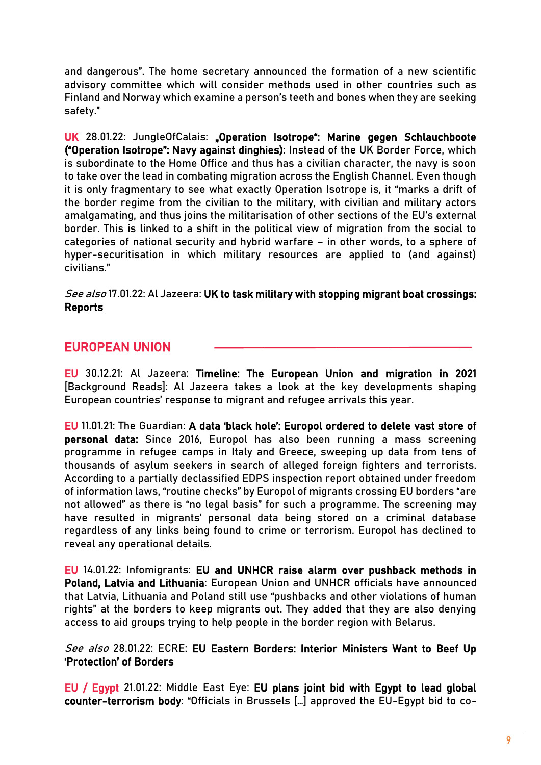and dangerous". The home secretary announced the formation of a new scientific advisory committee which will consider methods used in other countries such as Finland and Norway which examine a person's teeth and bones when they are seeking safety."

UK 28.01.22: JungleOfCalais: Deeration Isotrope<sup>"</sup>: Marine gegen Schlauchboote ("Operation Isotrope": Navy against dinghies): Instead of the UK Border Force, which is subordinate to the Home Office and thus has a civilian character, the navy is soon to take over the lead in combating migration across the English Channel. Even though it is only fragmentary to see what exactly Operation Isotrope is, it "marks a drift of the border regime from the civilian to the military, with civilian and military actors amalgamating, and thus joins the militarisation of other sections of the EU's external border. This is linked to a shift in the political view of migration from the social to categories of national security and hybrid warfare – in other words, to a sphere of hyper-securitisation in which military resources are applied to (and against) civilians."

#### See also 17.01.22: Al Jazeera: UK to task military with stopping migrant boat crossings: [Reports](https://www.aljazeera.com/news/2022/1/17/uk-to-task-military-with-stopping-migrant-boat-crossings-reports)

## EUROPEAN UNION

EU 30.12.21: Al Jazeera: [Timeline: The European Union and migration in 2021](https://www.aljazeera.com/features/2021/12/30/timeline-european-union-and-migration-in-2021) [Background Reads]: Al Jazeera takes a look at the key developments shaping European countries' response to migrant and refugee arrivals this year.

EU 11.01.21: The Guardian: [A data 'black hole': Europol or](https://www.theguardian.com/world/2022/jan/10/a-data-black-hole-europol-ordered-to-delete-vast-store-of-personal-data)dered to delete vast store of [personal data:](https://www.theguardian.com/world/2022/jan/10/a-data-black-hole-europol-ordered-to-delete-vast-store-of-personal-data) Since 2016, Europol has also been running a mass screening programme in refugee camps in Italy and Greece, sweeping up data from tens of thousands of asylum seekers in search of alleged foreign fighters and terrorists. According to a partially declassified EDPS inspection report obtained under freedom of information laws, "routine checks" by Europol of migrants crossing EU borders "are not allowed" as there is "no legal basis" for such a programme. The screening may have resulted in migrants' personal data being stored on a criminal database regardless of any links being found to crime or terrorism. Europol has declined to reveal any operational details.

EU 14.01.22: Infomigrants: [EU and UNHCR raise alarm over pushback methods in](https://www.infomigrants.net/en/post/37885/eu-and-unhcr-raise-alarm-over-pushback-methods-in-poland-latvia-and-lithuania)  [Poland, Latvia and Lithuania:](https://www.infomigrants.net/en/post/37885/eu-and-unhcr-raise-alarm-over-pushback-methods-in-poland-latvia-and-lithuania) European Union and UNHCR officials have announced that Latvia, Lithuania and Poland still use "pushbacks and other violations of human rights" at the borders to keep migrants out. They added that they are also denying access to aid groups trying to help people in the border region with Belarus.

#### See also 28.01.22: ECRE: EU Eastern Borders: Interior Ministers Want to Beef Up ['Protection' of Borders](https://mailchi.mp/ecre/ecre-weekly-bulletin-28012022?e=56a9f3c58e#EB)

EU / Egypt 21.01.22: Middle East Eye: [EU plans joint bid with Egypt to lead global](https://www.middleeasteye.net/news/eu-egypt-plans-bid-lead-global-counter-terrorism-body)  [counter-terrorism body](https://www.middleeasteye.net/news/eu-egypt-plans-bid-lead-global-counter-terrorism-body): "Officials in Brussels […] approved the EU-Egypt bid to co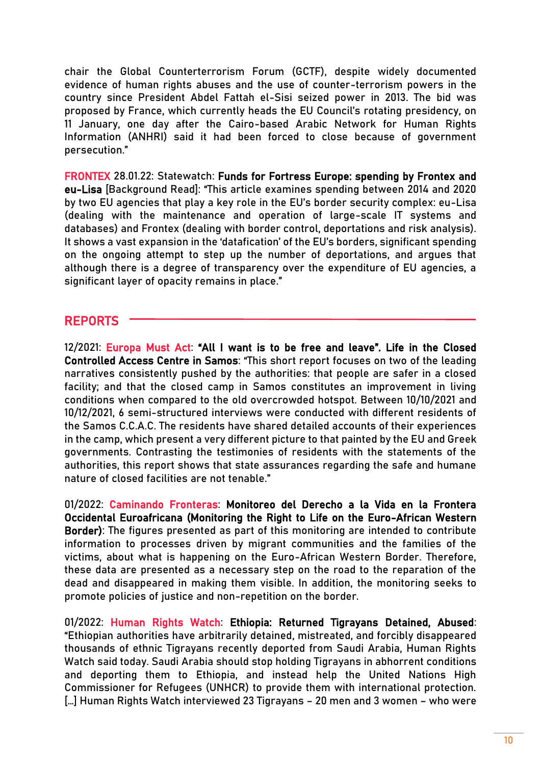chair the Global Counterterrorism Forum (GCTF), despite widely documented evidence of human rights abuses and the use of counter-terrorism powers in the country since President Abdel Fattah el-Sisi seized power in 2013. The bid was proposed by France, which currently heads the EU Council's rotating presidency, on 11 January, one day after the Cairo-based Arabic Network for Human Rights Information (ANHRI) said it had been forced to close because of government persecution."

FRONTEX 28.01.22: Statewatch: [Funds for Fortress Europe: spending by Frontex and](https://www.statewatch.org/analyses/2022/funds-for-fortress-europe-spending-by-frontex-and-eu-lisa/)  [eu-Lisa](https://www.statewatch.org/analyses/2022/funds-for-fortress-europe-spending-by-frontex-and-eu-lisa/) [Background Read]: "This article examines spending between 2014 and 2020 by two EU agencies that play a key role in the EU's border security complex: eu-Lisa (dealing with the maintenance and operation of large-scale IT systems and databases) and Frontex (dealing with border control, deportations and risk analysis). It shows a vast expansion in the 'datafication' of the EU's borders, significant spending on the ongoing attempt to step up the number of deportations, and argues that although there is a degree of transparency over the expenditure of EU agencies, a significant layer of opacity remains in place."

## REPORTS

12/2021: Europa Must Act: "[All I want is to be free and leave](https://www.europemustact.org/post/all-i-want-is-to-be-free-and-leave-life-in-the-closed-controlled-access-centre-in-samos)". Life in the Closed [Controlled Access Centre in Samos](https://www.europemustact.org/post/all-i-want-is-to-be-free-and-leave-life-in-the-closed-controlled-access-centre-in-samos): "This short report focuses on two of the leading narratives consistently pushed by the authorities: that people are safer in a closed facility; and that the closed camp in Samos constitutes an improvement in living conditions when compared to the old overcrowded hotspot. Between 10/10/2021 and 10/12/2021, 6 semi-structured interviews were conducted with different residents of the Samos C.C.A.C. The residents have shared detailed accounts of their experiences in the camp, which present a very different picture to that painted by the EU and Greek governments. Contrasting the testimonies of residents with the statements of the authorities, this report shows that state assurances regarding the safe and humane nature of closed facilities are not tenable."

01/2022: Caminando Fronteras: [Monitoreo del Derecho a la Vida en la Frontera](https://caminandofronteras.org/wp-content/uploads/2022/01/MONITORE-DALVES_v05.pdf)  [Occidental Euroafricana](https://caminandofronteras.org/wp-content/uploads/2022/01/MONITORE-DALVES_v05.pdf) (Monitoring the Right to Life on the Euro-African Western Border): The figures presented as part of this monitoring are intended to contribute information to processes driven by migrant communities and the families of the victims, about what is happening on the Euro-African Western Border. Therefore, these data are presented as a necessary step on the road to the reparation of the dead and disappeared in making them visible. In addition, the monitoring seeks to promote policies of justice and non-repetition on the border.

01/2022: Human Rights Watch: [Ethiopia: Returned Tigrayans Detained, Abused:](https://www.hrw.org/news/2022/01/05/ethiopia-returned-tigrayans-detained-abused) "Ethiopian authorities have arbitrarily detained, mistreated, and forcibly disappeared thousands of ethnic Tigrayans recently deported from Saudi Arabia, Human Rights Watch said today. Saudi Arabia should stop holding Tigrayans in abhorrent conditions and deporting them to Ethiopia, and instead help the United Nations High Commissioner for Refugees (UNHCR) to provide them with international protection. [...] Human Rights Watch interviewed 23 Tigrayans - 20 men and 3 women - who were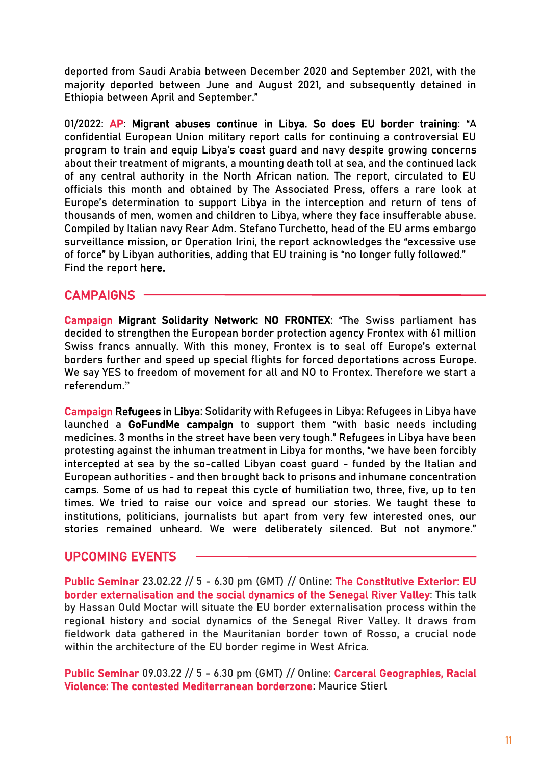deported from Saudi Arabia between December 2020 and September 2021, with the majority deported between June and August 2021, and subsequently detained in Ethiopia between April and September."

01/2022: AP: [Migrant abuses continue in Libya. So does EU border training:](https://apnews.com/a30dd342513aeeede5a7558de4c3089d) "A confidential European Union military report calls for continuing a controversial EU program to train and equip Libya's coast guard and navy despite growing concerns about their treatment of migrants, a mounting death toll at sea, and the continued lack of any central authority in the North African nation. The report, circulated to EU officials this month and obtained by The Associated Press, offers a rare look at Europe's determination to support Libya in the interception and return of tens of thousands of men, women and children to Libya, where they face insufferable abuse. Compiled by Italian navy Rear Adm. Stefano Turchetto, head of the EU arms embargo surveillance mission, or Operation Irini, the report acknowledges the "excessive use of force" by Libyan authorities, adding that EU training is "no longer fully followed." Find the report [here.](https://www.documentcloud.org/documents/21185907-libyan-coast-guard-and-navy-monitoring-four-months-report-august-november-2021)

## CAMPAIGNS

Campaign Migrant Solidarity Network: NO FRONTEX: "The Swiss parliament has decided to strengthen the European border protection agency Frontex with 61 million Swiss francs annually. With this money, Frontex is to seal off Europe's external borders further and speed up special flights for forced deportations across Europe. We say YES to freedom of movement for all and NO to Frontex. Therefore we start a referendum."

Campaign Refugees in Libya: Solidarity with Refugees in Libya: Refugees in Libya have launched a [GoFundMe campaign](https://www.gofundme.com/f/solidarityrefugeesinlibya?utm_campaign=p_cp+share-sheet&utm_medium=chat&utm_source=whatsApp) to support them "with basic needs including medicines. 3 months in the street have been very tough." Refugees in Libya have been protesting against the inhuman treatment in Libya for months, "we have been forcibly intercepted at sea by the so-called Libyan coast guard - funded by the Italian and European authorities - and then brought back to prisons and inhumane concentration camps. Some of us had to repeat this cycle of humiliation two, three, five, up to ten times. We tried to raise our voice and spread our stories. We taught these to institutions, politicians, journalists but apart from very few interested ones, our stories remained unheard. We were deliberately silenced. But not anymore."

## UPCOMING EVENTS

Public Seminar 23.02.22 // 5 - 6.30 pm (GMT) // Online: [The Constitutive Exterior: EU](https://www.rsc.ox.ac.uk/events/the-constitutive-exterior-eu-border-externalisation-and-the-social-dynamics-of-the-senegal-river-valley)  [border externalisation and the social dynamics of the Senegal River Valley:](https://www.rsc.ox.ac.uk/events/the-constitutive-exterior-eu-border-externalisation-and-the-social-dynamics-of-the-senegal-river-valley) This talk by Hassan Ould Moctar will situate the EU border externalisation process within the regional history and social dynamics of the Senegal River Valley. It draws from fieldwork data gathered in the Mauritanian border town of Rosso, a crucial node within the architecture of the EU border regime in West Africa.

Public Seminar 09.03.22 // 5 - 6.30 pm (GMT) // Online: [Carceral Geographies, Racial](https://www.rsc.ox.ac.uk/events/carceral-geographies-racial-violence-the-contested-mediterranean-borderzone)  [Violence: The contested Mediterranean borderzone:](https://www.rsc.ox.ac.uk/events/carceral-geographies-racial-violence-the-contested-mediterranean-borderzone) Maurice Stierl